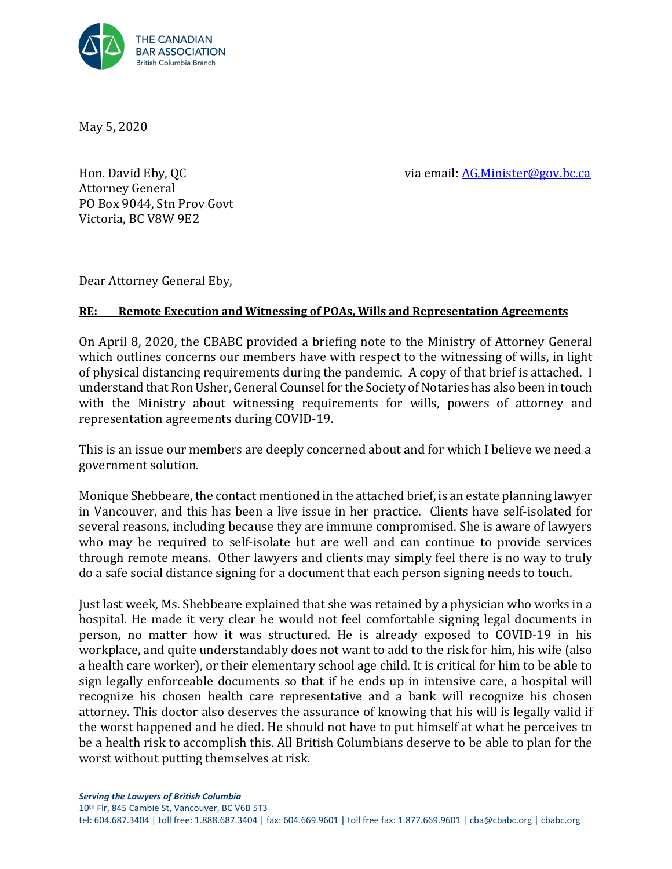

May 5, 2020

Hon. David Eby, QC and the same of the same of the via email: AG.Minister@gov.bc.ca

Attorney General PO Box 9044, Stn Prov Govt Victoria, BC V8W 9E2

Dear Attorney General Eby,

### **RE: Remote Execution and Witnessing of POAs, Wills and Representation Agreements**

On April 8, 2020, the CBABC provided a briefing note to the Ministry of Attorney General which outlines concerns our members have with respect to the witnessing of wills, in light of physical distancing requirements during the pandemic. A copy of that brief is attached. I understand that Ron Usher, General Counsel for the Society of Notaries has also been in touch with the Ministry about witnessing requirements for wills, powers of attorney and representation agreements during COVID-19.

This is an issue our members are deeply concerned about and for which I believe we need a government solution.

Monique Shebbeare, the contact mentioned in the attached brief, is an estate planning lawyer in Vancouver, and this has been a live issue in her practice. Clients have self-isolated for several reasons, including because they are immune compromised. She is aware of lawyers who may be required to self-isolate but are well and can continue to provide services through remote means. Other lawyers and clients may simply feel there is no way to truly do a safe social distance signing for a document that each person signing needs to touch.

Just last week, Ms. Shebbeare explained that she was retained by a physician who works in a hospital. He made it very clear he would not feel comfortable signing legal documents in person, no matter how it was structured. He is already exposed to COVID-19 in his workplace, and quite understandably does not want to add to the risk for him, his wife (also a health care worker), or their elementary school age child. It is critical for him to be able to sign legally enforceable documents so that if he ends up in intensive care, a hospital will recognize his chosen health care representative and a bank will recognize his chosen attorney. This doctor also deserves the assurance of knowing that his will is legally valid if the worst happened and he died. He should not have to put himself at what he perceives to be a health risk to accomplish this. All British Columbians deserve to be able to plan for the worst without putting themselves at risk.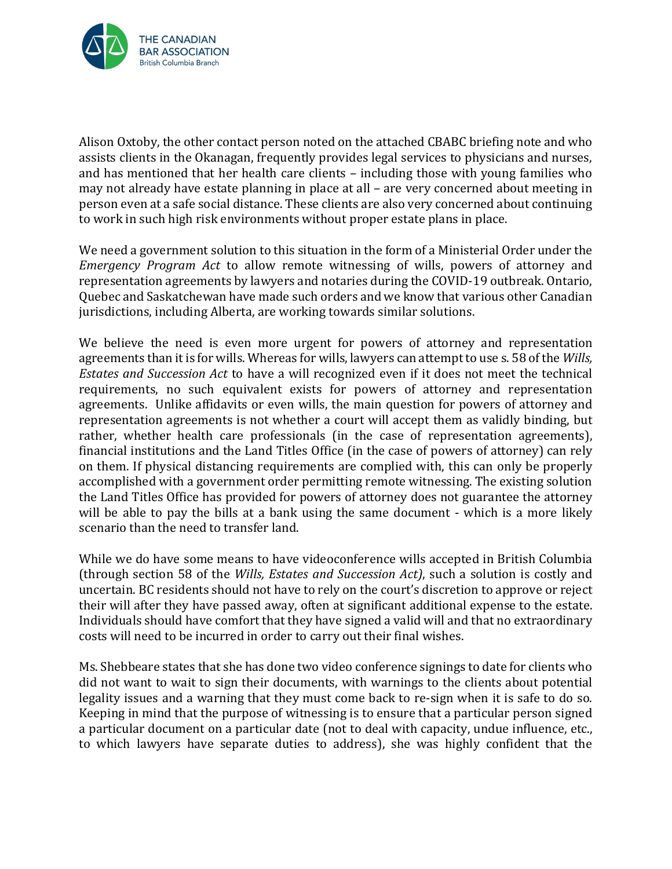

Alison Oxtoby, the other contact person noted on the attached CBABC briefing note and who assists clients in the Okanagan, frequently provides legal services to physicians and nurses, and has mentioned that her health care clients – including those with young families who may not already have estate planning in place at all – are very concerned about meeting in person even at a safe social distance. These clients are also very concerned about continuing to work in such high risk environments without proper estate plans in place.

We need a government solution to this situation in the form of a Ministerial Order under the *Emergency Program Act* to allow remote witnessing of wills, powers of attorney and representation agreements by lawyers and notaries during the COVID-19 outbreak. Ontario, Quebec and Saskatchewan have made such orders and we know that various other Canadian jurisdictions, including Alberta, are working towards similar solutions.

We believe the need is even more urgent for powers of attorney and representation agreements than it is for wills. Whereas for wills, lawyers can attempt to use s. 58 of the *Wills, Estates and Succession Act* to have a will recognized even if it does not meet the technical requirements, no such equivalent exists for powers of attorney and representation agreements. Unlike affidavits or even wills, the main question for powers of attorney and representation agreements is not whether a court will accept them as validly binding, but rather, whether health care professionals (in the case of representation agreements), financial institutions and the Land Titles Office (in the case of powers of attorney) can rely on them. If physical distancing requirements are complied with, this can only be properly accomplished with a government order permitting remote witnessing. The existing solution the Land Titles Office has provided for powers of attorney does not guarantee the attorney will be able to pay the bills at a bank using the same document - which is a more likely scenario than the need to transfer land.

While we do have some means to have videoconference wills accepted in British Columbia (through section 58 of the *Wills, Estates and Succession Act)*, such a solution is costly and uncertain. BC residents should not have to rely on the court's discretion to approve or reject their will after they have passed away, often at significant additional expense to the estate. Individuals should have comfort that they have signed a valid will and that no extraordinary costs will need to be incurred in order to carry out their final wishes.

Ms. Shebbeare states that she has done two video conference signings to date for clients who did not want to wait to sign their documents, with warnings to the clients about potential legality issues and a warning that they must come back to re-sign when it is safe to do so. Keeping in mind that the purpose of witnessing is to ensure that a particular person signed a particular document on a particular date (not to deal with capacity, undue influence, etc., to which lawyers have separate duties to address), she was highly confident that the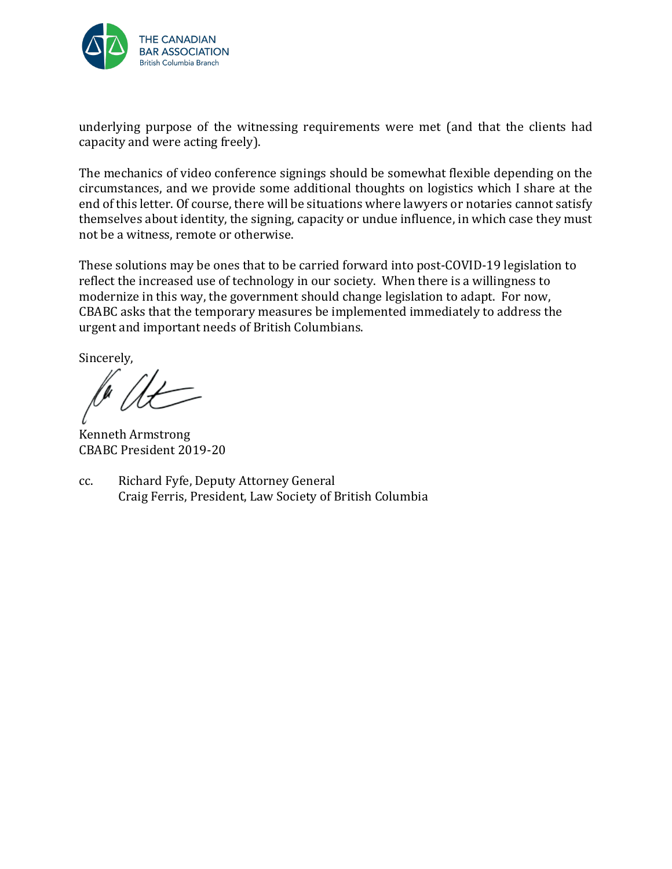

underlying purpose of the witnessing requirements were met (and that the clients had capacity and were acting freely).

The mechanics of video conference signings should be somewhat flexible depending on the circumstances, and we provide some additional thoughts on logistics which I share at the end of this letter. Of course, there will be situations where lawyers or notaries cannot satisfy themselves about identity, the signing, capacity or undue influence, in which case they must not be a witness, remote or otherwise.

These solutions may be ones that to be carried forward into post-COVID-19 legislation to reflect the increased use of technology in our society. When there is a willingness to modernize in this way, the government should change legislation to adapt. For now, CBABC asks that the temporary measures be implemented immediately to address the urgent and important needs of British Columbians.

Sincerely,

Kenneth Armstrong CBABC President 2019-20

cc. Richard Fyfe, Deputy Attorney General Craig Ferris, President, Law Society of British Columbia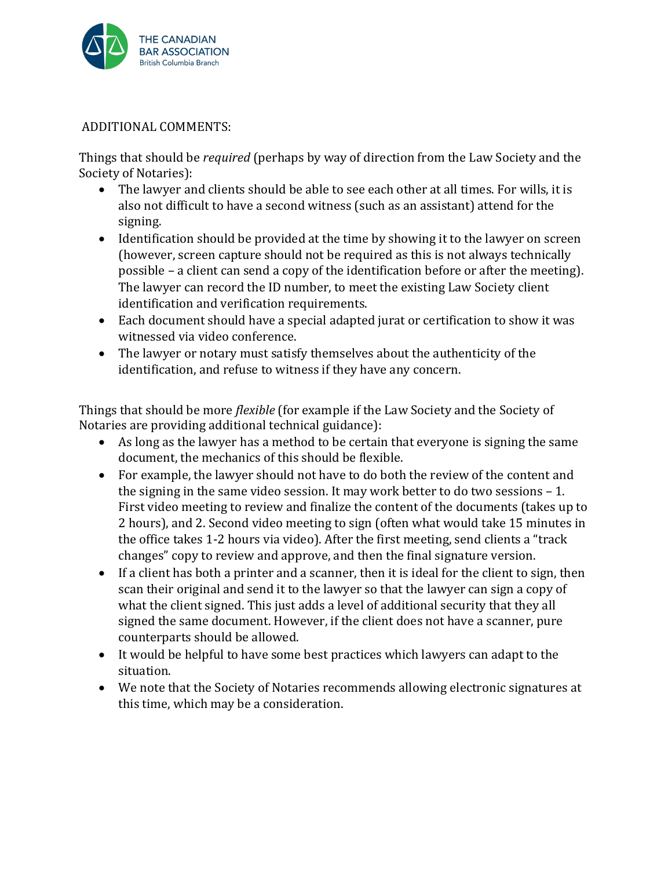

## ADDITIONAL COMMENTS:

Things that should be *required* (perhaps by way of direction from the Law Society and the Society of Notaries):

- The lawyer and clients should be able to see each other at all times. For wills, it is also not difficult to have a second witness (such as an assistant) attend for the signing.
- Identification should be provided at the time by showing it to the lawyer on screen (however, screen capture should not be required as this is not always technically possible – a client can send a copy of the identification before or after the meeting). The lawyer can record the ID number, to meet the existing Law Society client identification and verification requirements.
- Each document should have a special adapted jurat or certification to show it was witnessed via video conference.
- The lawyer or notary must satisfy themselves about the authenticity of the identification, and refuse to witness if they have any concern.

Things that should be more *flexible* (for example if the Law Society and the Society of Notaries are providing additional technical guidance):

- As long as the lawyer has a method to be certain that everyone is signing the same document, the mechanics of this should be flexible.
- For example, the lawyer should not have to do both the review of the content and the signing in the same video session. It may work better to do two sessions – 1. First video meeting to review and finalize the content of the documents (takes up to 2 hours), and 2. Second video meeting to sign (often what would take 15 minutes in the office takes 1-2 hours via video). After the first meeting, send clients a "track changes" copy to review and approve, and then the final signature version.
- If a client has both a printer and a scanner, then it is ideal for the client to sign, then scan their original and send it to the lawyer so that the lawyer can sign a copy of what the client signed. This just adds a level of additional security that they all signed the same document. However, if the client does not have a scanner, pure counterparts should be allowed.
- It would be helpful to have some best practices which lawyers can adapt to the situation.
- We note that the Society of Notaries recommends allowing electronic signatures at this time, which may be a consideration.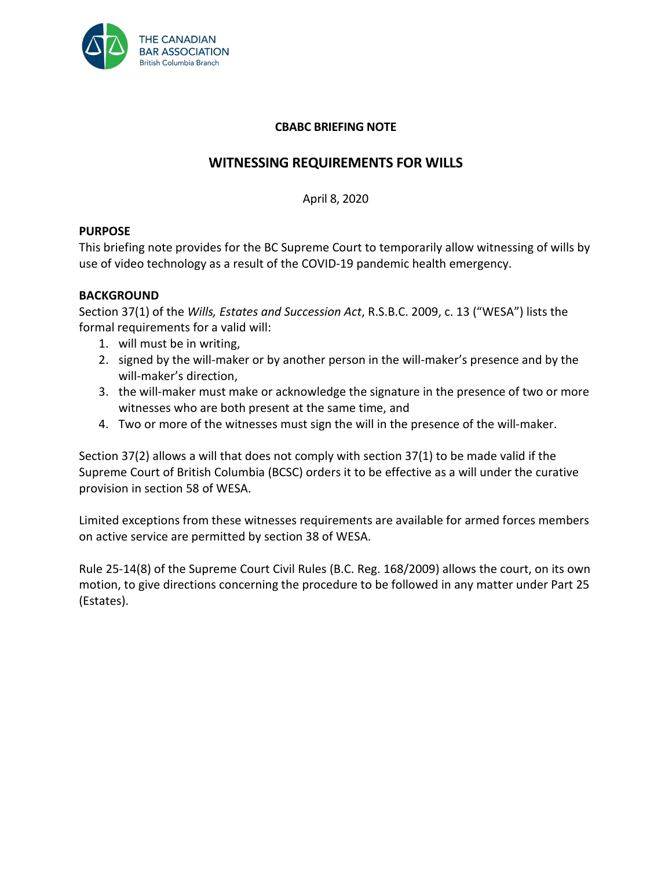

### **CBABC BRIEFING NOTE**

# **WITNESSING REQUIREMENTS FOR WILLS**

April 8, 2020

### **PURPOSE**

This briefing note provides for the BC Supreme Court to temporarily allow witnessing of wills by use of video technology as a result of the COVID-19 pandemic health emergency.

### **BACKGROUND**

Section 37(1) of the *Wills, Estates and Succession Act*, R.S.B.C. 2009, c. 13 ("WESA") lists the formal requirements for a valid will:

- 1. will must be in writing,
- 2. signed by the will-maker or by another person in the will-maker's presence and by the will-maker's direction,
- 3. the will-maker must make or acknowledge the signature in the presence of two or more witnesses who are both present at the same time, and
- 4. Two or more of the witnesses must sign the will in the presence of the will-maker.

Section 37(2) allows a will that does not comply with section 37(1) to be made valid if the Supreme Court of British Columbia (BCSC) orders it to be effective as a will under the curative provision in section 58 of WESA.

Limited exceptions from these witnesses requirements are available for armed forces members on active service are permitted by section 38 of WESA.

Rule 25-14(8) of the Supreme Court Civil Rules (B.C. Reg. 168/2009) allows the court, on its own motion, to give directions concerning the procedure to be followed in any matter under Part 25 (Estates).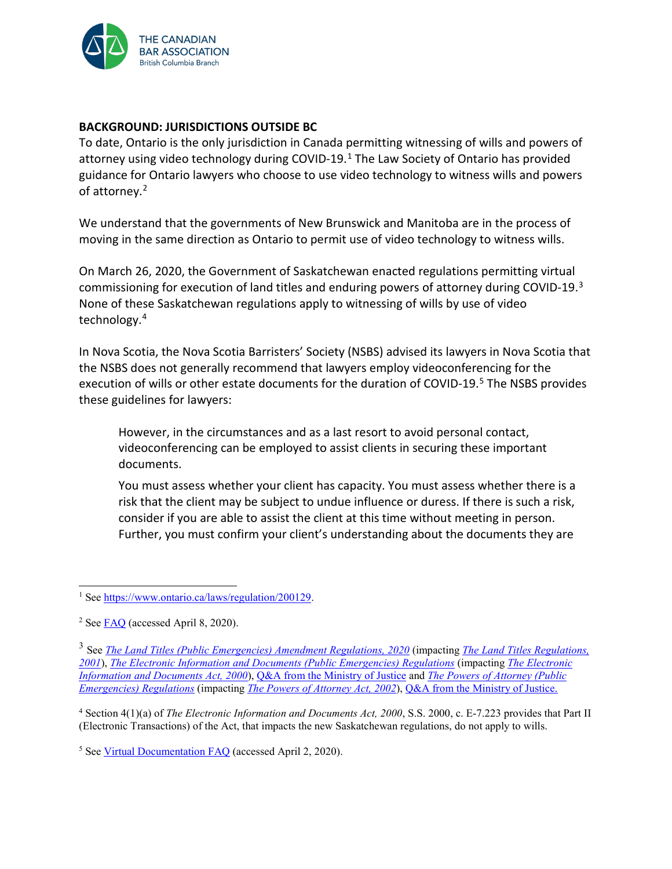

#### **BACKGROUND: JURISDICTIONS OUTSIDE BC**

To date, Ontario is the only jurisdiction in Canada permitting witnessing of wills and powers of attorney using video technology during COVID-19.[1](#page-5-0) The Law Society of Ontario has provided guidance for Ontario lawyers who choose to use video technology to witness wills and powers of attorney.<sup>[2](#page-5-1)</sup>

We understand that the governments of New Brunswick and Manitoba are in the process of moving in the same direction as Ontario to permit use of video technology to witness wills.

On March 26, 2020, the Government of Saskatchewan enacted regulations permitting virtual commissioning for execution of land titles and enduring powers of attorney during COVID-19.[3](#page-5-2) None of these Saskatchewan regulations apply to witnessing of wills by use of video technology.[4](#page-5-3)

In Nova Scotia, the Nova Scotia Barristers' Society (NSBS) advised its lawyers in Nova Scotia that the NSBS does not generally recommend that lawyers employ videoconferencing for the execution of wills or other estate documents for the duration of COVID-19.<sup>[5](#page-5-4)</sup> The NSBS provides these guidelines for lawyers:

However, in the circumstances and as a last resort to avoid personal contact, videoconferencing can be employed to assist clients in securing these important documents.

You must assess whether your client has capacity. You must assess whether there is a risk that the client may be subject to undue influence or duress. If there is such a risk, consider if you are able to assist the client at this time without meeting in person. Further, you must confirm your client's understanding about the documents they are

<span id="page-5-0"></span><sup>1</sup> Se[e https://www.ontario.ca/laws/regulation/200129.](https://www.ontario.ca/laws/regulation/200129)

<span id="page-5-1"></span><sup>2</sup> Se[e FAQ](https://lso.ca/news-events/news/corporate-statement-re-covid-19#in-the-context-of-covid-19-and-as-a-result-of-the-emergency-order-in-council-dated-april-7-2020-h-5) (accessed April 8, 2020).

<span id="page-5-2"></span><sup>3</sup> See *[The Land Titles \(Public Emergencies\) Amendment Regulations, 2020](https://publications.saskatchewan.ca/#/products/104559)* (impacting *[The Land Titles Regulations,](https://pubsaskdev.blob.core.windows.net/pubsask-prod/2133/L5-1R1.PDF)  [2001](https://pubsaskdev.blob.core.windows.net/pubsask-prod/2133/L5-1R1.PDF)*), *[The Electronic Information and Documents \(Public Emergencies\) Regulations](https://publications.saskatchewan.ca/#/products/104562)* (impacting *[The Electronic](https://publications.saskatchewan.ca/api/v1/products/89941/formats/106768/download)  [Information and Documents Act, 2000](https://publications.saskatchewan.ca/api/v1/products/89941/formats/106768/download)*), [Q&A from the Ministry of Justice](https://www.lawsociety.sk.ca/media/395852/2020-03-24-eid-regs-qa-for-lss.pdf) and *[The Powers of Attorney \(Public](https://publications.saskatchewan.ca/#/products/104561)  [Emergencies\) Regulations](https://publications.saskatchewan.ca/#/products/104561)* (impacting *[The Powers of Attorney Act, 2002](https://pubsaskdev.blob.core.windows.net/pubsask-prod/1162/p20-3.pdf)*)[, Q&A from the Ministry of Justice.](https://www.lawsociety.sk.ca/media/395846/2020-03-24-poa-regs-qa-for-lss.pdf)

<span id="page-5-3"></span><sup>4</sup> Section 4(1)(a) of *The Electronic Information and Documents Act, 2000*, S.S. 2000, c. E-7.223 provides that Part II (Electronic Transactions) of the Act, that impacts the new Saskatchewan regulations, do not apply to wills.

<span id="page-5-4"></span><sup>5</sup> Se[e Virtual Documentation FAQ](https://nsbs.org/covid-19-questions/) (accessed April 2, 2020).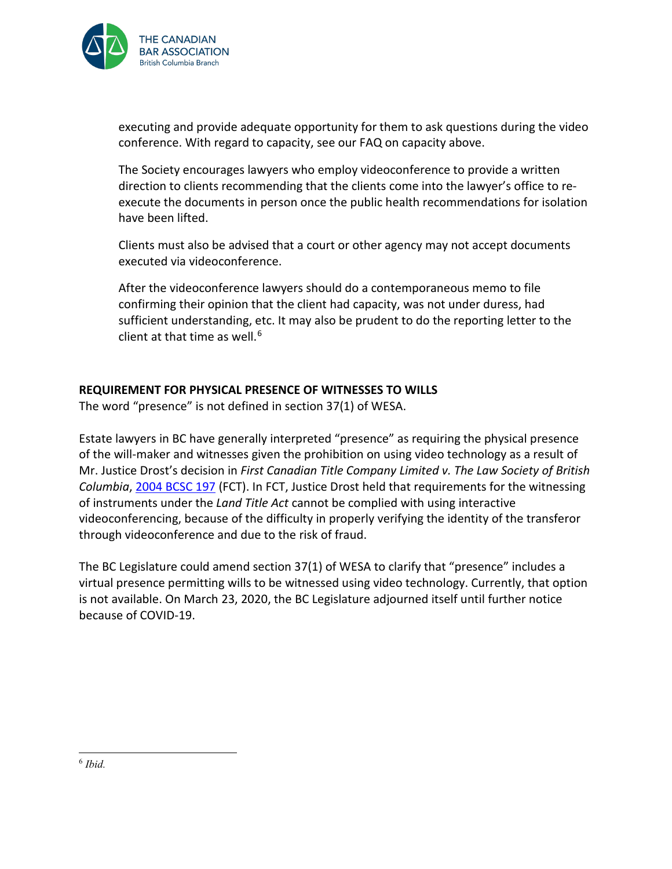

executing and provide adequate opportunity for them to ask questions during the video conference. With regard to capacity, see our FAQ on capacity above.

The Society encourages lawyers who employ videoconference to provide a written direction to clients recommending that the clients come into the lawyer's office to reexecute the documents in person once the public health recommendations for isolation have been lifted.

Clients must also be advised that a court or other agency may not accept documents executed via videoconference.

After the videoconference lawyers should do a contemporaneous memo to file confirming their opinion that the client had capacity, was not under duress, had sufficient understanding, etc. It may also be prudent to do the reporting letter to the client at that time as well.<sup>[6](#page-6-0)</sup>

### **REQUIREMENT FOR PHYSICAL PRESENCE OF WITNESSES TO WILLS**

The word "presence" is not defined in section 37(1) of WESA.

Estate lawyers in BC have generally interpreted "presence" as requiring the physical presence of the will-maker and witnesses given the prohibition on using video technology as a result of Mr. Justice Drost's decision in *First Canadian Title Company Limited v. The Law Society of British Columbia*, [2004 BCSC 197](https://www.bccourts.ca/jdb-txt/SC/04/01/2004BCSC0197err1.htm) (FCT). In FCT, Justice Drost held that requirements for the witnessing of instruments under the *Land Title Act* cannot be complied with using interactive videoconferencing, because of the difficulty in properly verifying the identity of the transferor through videoconference and due to the risk of fraud.

<span id="page-6-0"></span>The BC Legislature could amend section 37(1) of WESA to clarify that "presence" includes a virtual presence permitting wills to be witnessed using video technology. Currently, that option is not available. On March 23, 2020, the BC Legislature adjourned itself until further notice because of COVID-19.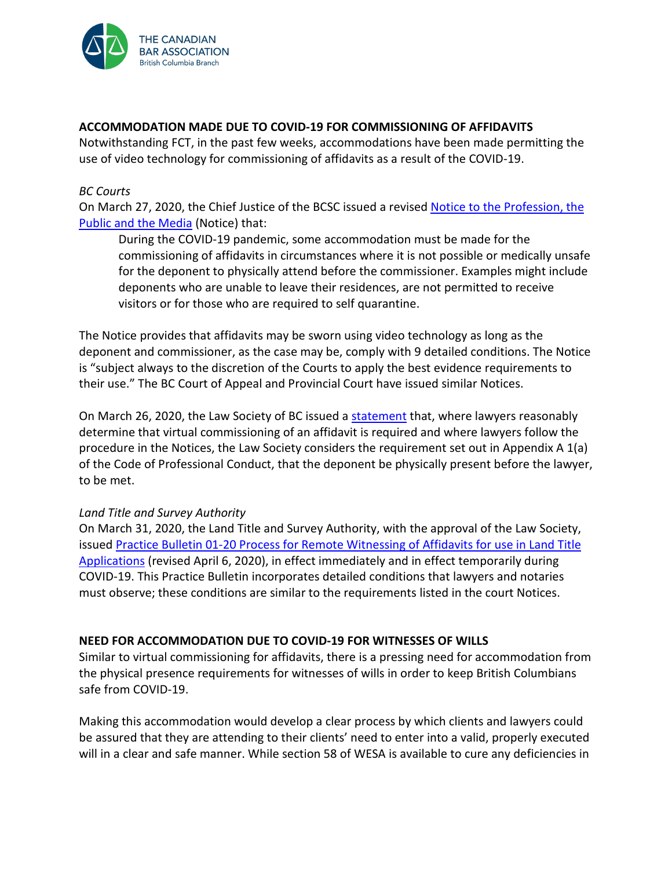

#### **ACCOMMODATION MADE DUE TO COVID-19 FOR COMMISSIONING OF AFFIDAVITS**

Notwithstanding FCT, in the past few weeks, accommodations have been made permitting the use of video technology for commissioning of affidavits as a result of the COVID-19.

#### *BC Courts*

On March 27, 2020, the Chief Justice of the BCSC issued a revised [Notice to the Profession, the](https://www.bccourts.ca/supreme_court/documents/Notice%20to%20the%20Public%20Re%20Affidavits%20-%20SC%20-%20March%2027%202020.pdf)  [Public and the Media](https://www.bccourts.ca/supreme_court/documents/Notice%20to%20the%20Public%20Re%20Affidavits%20-%20SC%20-%20March%2027%202020.pdf) (Notice) that:

During the COVID-19 pandemic, some accommodation must be made for the commissioning of affidavits in circumstances where it is not possible or medically unsafe for the deponent to physically attend before the commissioner. Examples might include deponents who are unable to leave their residences, are not permitted to receive visitors or for those who are required to self quarantine.

The Notice provides that affidavits may be sworn using video technology as long as the deponent and commissioner, as the case may be, comply with 9 detailed conditions. The Notice is "subject always to the discretion of the Courts to apply the best evidence requirements to their use." The BC Court of Appeal and Provincial Court have issued similar Notices.

On March 26, 2020, the Law Society of BC issued a [statement](https://www.lawsociety.bc.ca/about-us/news-and-publications/news/2020/covid-19-update-march-26,-2020/) that, where lawyers reasonably determine that virtual commissioning of an affidavit is required and where lawyers follow the procedure in the Notices, the Law Society considers the requirement set out in Appendix A 1(a) of the Code of Professional Conduct, that the deponent be physically present before the lawyer, to be met.

#### *Land Title and Survey Authority*

On March 31, 2020, the Land Title and Survey Authority, with the approval of the Law Society, issued [Practice Bulletin 01-20 Process for Remote Witnessing of Affidavits for use in Land Title](https://ltsa.ca/sites/default/files/PB%2001-20%20Process%20for%20Remote%20Witnessing%20of%20Affidavits%20for%20use%20in%20Land%20Title%20Applications.pdf)  [Applications](https://ltsa.ca/sites/default/files/PB%2001-20%20Process%20for%20Remote%20Witnessing%20of%20Affidavits%20for%20use%20in%20Land%20Title%20Applications.pdf) (revised April 6, 2020), in effect immediately and in effect temporarily during COVID-19. This Practice Bulletin incorporates detailed conditions that lawyers and notaries must observe; these conditions are similar to the requirements listed in the court Notices.

#### **NEED FOR ACCOMMODATION DUE TO COVID-19 FOR WITNESSES OF WILLS**

Similar to virtual commissioning for affidavits, there is a pressing need for accommodation from the physical presence requirements for witnesses of wills in order to keep British Columbians safe from COVID-19.

Making this accommodation would develop a clear process by which clients and lawyers could be assured that they are attending to their clients' need to enter into a valid, properly executed will in a clear and safe manner. While section 58 of WESA is available to cure any deficiencies in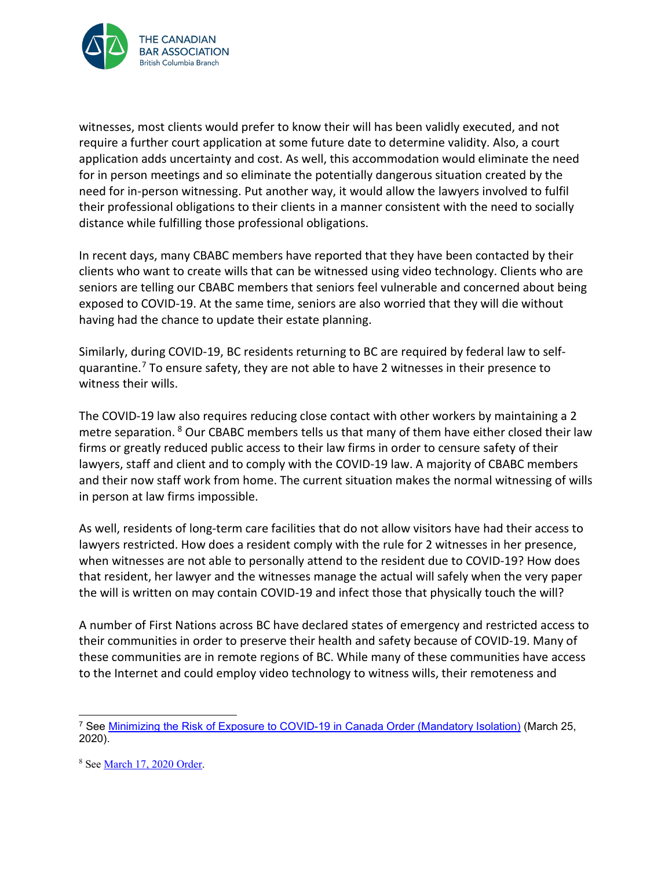

witnesses, most clients would prefer to know their will has been validly executed, and not require a further court application at some future date to determine validity. Also, a court application adds uncertainty and cost. As well, this accommodation would eliminate the need for in person meetings and so eliminate the potentially dangerous situation created by the need for in-person witnessing. Put another way, it would allow the lawyers involved to fulfil their professional obligations to their clients in a manner consistent with the need to socially distance while fulfilling those professional obligations.

In recent days, many CBABC members have reported that they have been contacted by their clients who want to create wills that can be witnessed using video technology. Clients who are seniors are telling our CBABC members that seniors feel vulnerable and concerned about being exposed to COVID-19. At the same time, seniors are also worried that they will die without having had the chance to update their estate planning.

Similarly, during COVID-19, BC residents returning to BC are required by federal law to selfquarantine.[7](#page-8-0) To ensure safety, they are not able to have 2 witnesses in their presence to witness their wills.

The COVID-19 law also requires reducing close contact with other workers by maintaining a 2 metre separation. <sup>[8](#page-8-1)</sup> Our CBABC members tells us that many of them have either closed their law firms or greatly reduced public access to their law firms in order to censure safety of their lawyers, staff and client and to comply with the COVID-19 law. A majority of CBABC members and their now staff work from home. The current situation makes the normal witnessing of wills in person at law firms impossible.

As well, residents of long-term care facilities that do not allow visitors have had their access to lawyers restricted. How does a resident comply with the rule for 2 witnesses in her presence, when witnesses are not able to personally attend to the resident due to COVID-19? How does that resident, her lawyer and the witnesses manage the actual will safely when the very paper the will is written on may contain COVID-19 and infect those that physically touch the will?

A number of First Nations across BC have declared states of emergency and restricted access to their communities in order to preserve their health and safety because of COVID-19. Many of these communities are in remote regions of BC. While many of these communities have access to the Internet and could employ video technology to witness wills, their remoteness and

<span id="page-8-0"></span> <sup>7</sup> See [Minimizing the Risk of Exposure to COVID-19 in Canada Order \(Mandatory Isolation\)](https://orders-in-council.canada.ca/attachment.php?attach=38989&lang=en) (March 25, 2020).

<span id="page-8-1"></span><sup>8</sup> Se[e March 17, 2020 Order.](https://www2.gov.bc.ca/assets/gov/health/about-bc-s-health-care-system/office-of-the-provincial-health-officer/reports-publications/covid-19-pho-class-order-travellers.pdf)